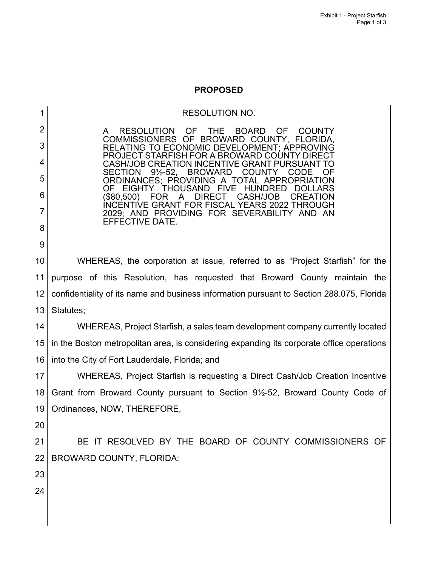## **PROPOSED**

|                 | <b>RESOLUTION NO.</b>                                                                                                           |
|-----------------|---------------------------------------------------------------------------------------------------------------------------------|
| 2               | THE BOARD<br>RESOLUTION OF<br>OF<br><b>COUNTY</b><br>A                                                                          |
| 3               | COMMISSIONERS OF BROWARD COUNTY, FLORIDA,<br>RELATING TO ECONOMIC DEVELOPMENT; APPROVING<br>PROJECT STARFISH FOR A BROWARD COUN |
| 4               | CASH/JOB CREATION INCENTIVE GRANT PURSUA<br>$9\frac{1}{2} - 52$ ,<br><b>BROWARD</b><br><b>SECTION</b><br><b>COUNTY</b><br>CODE  |
| 5               | ORDINANCES: PROVIDING A TOTAL APPROPRIATION<br><b>THOUSAND</b><br>OF<br>EIGHTY<br><b>FIVF</b><br><b>HUNDRED</b>                 |
| 6               | (\$80,500)<br>A<br><b>DIRECT</b><br>CASH/JOB<br><b>CREATION</b><br><b>FOR</b><br>INCENTIVE GRANT FOR FISCAL YEARS 2022 THROUGH  |
| 7               | 2029; AND PROVIDING FOR SEVERABILITY AND AN<br>EFFECTIVE DATE.                                                                  |
| 8               |                                                                                                                                 |
| 9               |                                                                                                                                 |
| 10              | WHEREAS, the corporation at issue, referred to as "Project Starfish" for the                                                    |
| 11              | purpose of this Resolution, has requested that Broward County maintain the                                                      |
| 12              | confidentiality of its name and business information pursuant to Section 288.075, Florida                                       |
| 13              | Statutes;                                                                                                                       |
| 14              | WHEREAS, Project Starfish, a sales team development company currently located                                                   |
| 15 <sub>2</sub> | in the Boston metropolitan area, is considering expanding its corporate office operations                                       |
| 16              | into the City of Fort Lauderdale, Florida; and                                                                                  |
| 17              | WHEREAS, Project Starfish is requesting a Direct Cash/Job Creation Incentive                                                    |
| 18              | Grant from Broward County pursuant to Section 91/2-52, Broward County Code of                                                   |
| 19              | Ordinances, NOW, THEREFORE,                                                                                                     |
| 20              |                                                                                                                                 |
| 21              | BE IT RESOLVED BY THE BOARD OF COUNTY COMMISSIONERS OF                                                                          |
| 22              | <b>BROWARD COUNTY, FLORIDA:</b>                                                                                                 |
| 23              |                                                                                                                                 |
| 24              |                                                                                                                                 |
|                 |                                                                                                                                 |
|                 |                                                                                                                                 |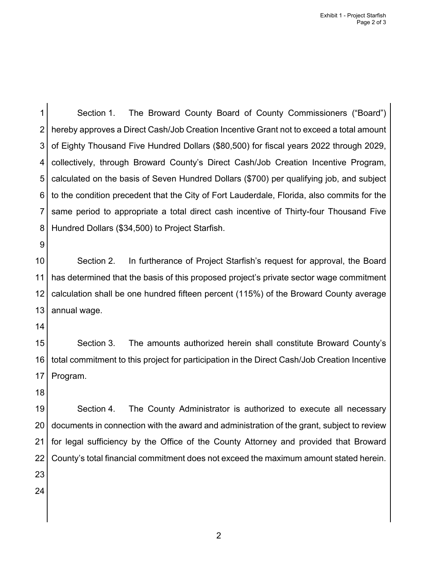1 2 3 4 5 6 7 8 Section 1. The Broward County Board of County Commissioners ("Board") hereby approves a Direct Cash/Job Creation Incentive Grant not to exceed a total amount of Eighty Thousand Five Hundred Dollars (\$80,500) for fiscal years 2022 through 2029, collectively, through Broward County's Direct Cash/Job Creation Incentive Program, calculated on the basis of Seven Hundred Dollars (\$700) per qualifying job, and subject to the condition precedent that the City of Fort Lauderdale, Florida, also commits for the same period to appropriate a total direct cash incentive of Thirty-four Thousand Five Hundred Dollars (\$34,500) to Project Starfish.

9

10 11 12 13 Section 2. In furtherance of Project Starfish's request for approval, the Board has determined that the basis of this proposed project's private sector wage commitment calculation shall be one hundred fifteen percent (115%) of the Broward County average annual wage.

14

15 16 17 Section 3. The amounts authorized herein shall constitute Broward County's total commitment to this project for participation in the Direct Cash/Job Creation Incentive Program.

18

19 20 21 22 23 Section 4. The County Administrator is authorized to execute all necessary documents in connection with the award and administration of the grant, subject to review for legal sufficiency by the Office of the County Attorney and provided that Broward County's total financial commitment does not exceed the maximum amount stated herein.

24